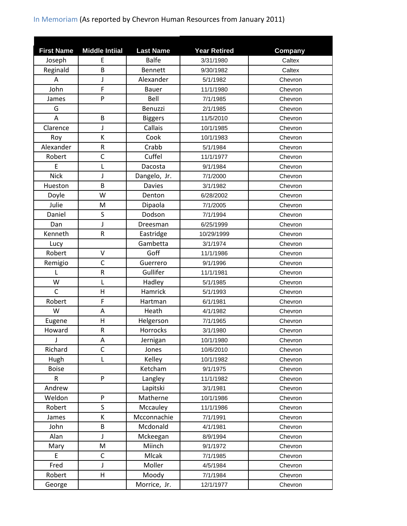| <b>First Name</b> | <b>Middle Intiial</b>                                                                                      | <b>Last Name</b> | <b>Year Retired</b> | Company |
|-------------------|------------------------------------------------------------------------------------------------------------|------------------|---------------------|---------|
| Joseph            | Ε                                                                                                          | <b>Balfe</b>     | 3/31/1980           | Caltex  |
| Reginald          | B                                                                                                          | <b>Bennett</b>   | 9/30/1982           | Caltex  |
| A                 | J                                                                                                          | Alexander        | 5/1/1982            | Chevron |
| John              | F                                                                                                          | <b>Bauer</b>     | 11/1/1980           | Chevron |
| James             | P                                                                                                          | Bell             | 7/1/1985            | Chevron |
| G                 |                                                                                                            | Benuzzi          | 2/1/1985            | Chevron |
| A                 | B                                                                                                          | <b>Biggers</b>   | 11/5/2010           | Chevron |
| Clarence          | J                                                                                                          | Callais          | 10/1/1985           | Chevron |
| Roy               | К                                                                                                          | Cook             | 10/1/1983           | Chevron |
| Alexander         | ${\sf R}$                                                                                                  | Crabb            | 5/1/1984            | Chevron |
| Robert            | $\mathsf{C}$                                                                                               | Cuffel           | 11/1/1977           | Chevron |
| E                 | L                                                                                                          | Dacosta          | 9/1/1984            | Chevron |
| <b>Nick</b>       | J                                                                                                          | Dangelo, Jr.     | 7/1/2000            | Chevron |
| Hueston           | B                                                                                                          | <b>Davies</b>    | 3/1/1982            | Chevron |
| Doyle             | W                                                                                                          | Denton           | 6/28/2002           | Chevron |
| Julie             | M                                                                                                          | Dipaola          | 7/1/2005            | Chevron |
| Daniel            | S                                                                                                          | Dodson           | 7/1/1994            | Chevron |
| Dan               | J                                                                                                          | Dreesman         | 6/25/1999           | Chevron |
| Kenneth           | $\mathsf R$                                                                                                | Eastridge        | 10/29/1999          | Chevron |
| Lucy              |                                                                                                            | Gambetta         | 3/1/1974            | Chevron |
| Robert            | $\vee$                                                                                                     | Goff             | 11/1/1986           | Chevron |
| Remigio           | $\mathsf{C}$                                                                                               | Guerrero         | 9/1/1996            | Chevron |
| L                 | ${\sf R}$                                                                                                  | Gullifer         | 11/1/1981           | Chevron |
| W                 | L                                                                                                          | Hadley           | 5/1/1985            | Chevron |
| $\mathsf{C}$      | $\mathsf{H}$                                                                                               | Hamrick          | 5/1/1993            | Chevron |
| Robert            | F                                                                                                          | Hartman          | 6/1/1981            | Chevron |
| W                 | A                                                                                                          | Heath            | 4/1/1982            | Chevron |
| Eugene            | H                                                                                                          | Helgerson        | 7/1/1965            | Chevron |
| Howard            | ${\sf R}$                                                                                                  | Horrocks         | 3/1/1980            | Chevron |
|                   | Α                                                                                                          | Jernigan         | 10/1/1980           | Chevron |
| Richard           | $\mathsf{C}$                                                                                               | Jones            | 10/6/2010           | Chevron |
| Hugh              | L                                                                                                          | Kelley           | 10/1/1982           | Chevron |
| <b>Boise</b>      |                                                                                                            | Ketcham          | 9/1/1975            | Chevron |
| $\mathsf R$       | P                                                                                                          | Langley          | 11/1/1982           | Chevron |
| Andrew            |                                                                                                            | Lapitski         | 3/1/1981            | Chevron |
| Weldon            | ${\sf P}$                                                                                                  | Matherne         | 10/1/1986           | Chevron |
| Robert            | S                                                                                                          | Mccauley         | 11/1/1986           | Chevron |
| James             | Κ                                                                                                          | Mcconnachie      | 7/1/1991            | Chevron |
| John              | B                                                                                                          | Mcdonald         | 4/1/1981            | Chevron |
| Alan              | J                                                                                                          | Mckeegan         | 8/9/1994            | Chevron |
| Mary              | $\mathsf{M}% _{T}=\mathsf{M}_{T}\!\left( a,b\right) ,\ \mathsf{M}_{T}=\mathsf{M}_{T}\!\left( a,b\right) ,$ | Miinch           | 9/1/1972            | Chevron |
| E                 | $\mathsf C$                                                                                                | Mlcak            | 7/1/1985            | Chevron |
| Fred              | J                                                                                                          | Moller           | 4/5/1984            | Chevron |
| Robert            | Н                                                                                                          | Moody            | 7/1/1984            | Chevron |
| George            |                                                                                                            | Morrice, Jr.     | 12/1/1977           | Chevron |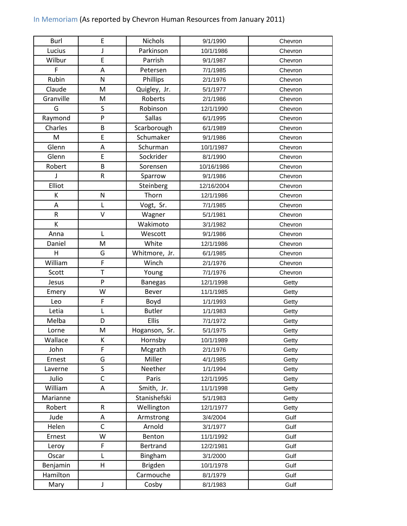| <b>Burl</b> | E                       | Nichols        | 9/1/1990   | Chevron |
|-------------|-------------------------|----------------|------------|---------|
| Lucius      | J                       | Parkinson      | 10/1/1986  | Chevron |
| Wilbur      | E                       | Parrish        | 9/1/1987   | Chevron |
| F           | A                       | Petersen       | 7/1/1985   | Chevron |
| Rubin       | N                       | Phillips       | 2/1/1976   | Chevron |
| Claude      | M                       | Quigley, Jr.   | 5/1/1977   | Chevron |
| Granville   | M                       | Roberts        | 2/1/1986   | Chevron |
| G           | S                       | Robinson       | 12/1/1990  | Chevron |
| Raymond     | P                       | <b>Sallas</b>  | 6/1/1995   | Chevron |
| Charles     | B                       | Scarborough    | 6/1/1989   | Chevron |
| M           | E                       | Schumaker      | 9/1/1986   | Chevron |
| Glenn       | A                       | Schurman       | 10/1/1987  | Chevron |
| Glenn       | E                       | Sockrider      | 8/1/1990   | Chevron |
| Robert      | B                       | Sorensen       | 10/16/1986 | Chevron |
|             | R                       | Sparrow        | 9/1/1986   | Chevron |
| Elliot      |                         | Steinberg      | 12/16/2004 | Chevron |
| K           | ${\sf N}$               | Thorn          | 12/1/1986  | Chevron |
| A           | L                       | Vogt, Sr.      | 7/1/1985   | Chevron |
| $\mathsf R$ | $\vee$                  | Wagner         | 5/1/1981   | Chevron |
| K           |                         | Wakimoto       | 3/1/1982   | Chevron |
| Anna        | L                       | Wescott        | 9/1/1986   | Chevron |
| Daniel      | M                       | White          | 12/1/1986  | Chevron |
| H           | G                       | Whitmore, Jr.  | 6/1/1985   | Chevron |
| William     | F                       | Winch          | 2/1/1976   | Chevron |
| Scott       | T                       | Young          | 7/1/1976   | Chevron |
| Jesus       | P                       | <b>Banegas</b> | 12/1/1998  | Getty   |
| Emery       | W                       | <b>Bever</b>   | 11/1/1985  | Getty   |
| Leo         | F                       | Boyd           | 1/1/1993   | Getty   |
| Letia       | L                       | <b>Butler</b>  | 1/1/1983   | Getty   |
| Melba       | D                       | <b>Ellis</b>   | 7/1/1972   | Getty   |
| Lorne       | M                       | Hoganson, Sr.  | 5/1/1975   | Getty   |
| Wallace     | К                       | Hornsby        | 10/1/1989  | Getty   |
| John        | F                       | Mcgrath        | 2/1/1976   | Getty   |
| Ernest      | G                       | Miller         | 4/1/1985   | Getty   |
| Laverne     | $\overline{\mathsf{S}}$ | Neether        | 1/1/1994   | Getty   |
| Julio       | $\mathsf{C}$            | Paris          | 12/1/1995  | Getty   |
| William     | A                       | Smith, Jr.     | 11/1/1998  | Getty   |
| Marianne    |                         | Stanishefski   | 5/1/1983   | Getty   |
| Robert      | ${\sf R}$               | Wellington     | 12/1/1977  | Getty   |
| Jude        | A                       | Armstrong      | 3/4/2004   | Gulf    |
| Helen       | $\mathsf{C}$            | Arnold         | 3/1/1977   | Gulf    |
| Ernest      | W                       | Benton         | 11/1/1992  | Gulf    |
| Leroy       | F                       | Bertrand       | 12/2/1981  | Gulf    |
| Oscar       | L                       | Bingham        | 3/1/2000   | Gulf    |
| Benjamin    | $\overline{\mathsf{H}}$ | Brigden        | 10/1/1978  | Gulf    |
| Hamilton    |                         | Carmouche      | 8/1/1979   | Gulf    |
| Mary        | J                       | Cosby          | 8/1/1983   | Gulf    |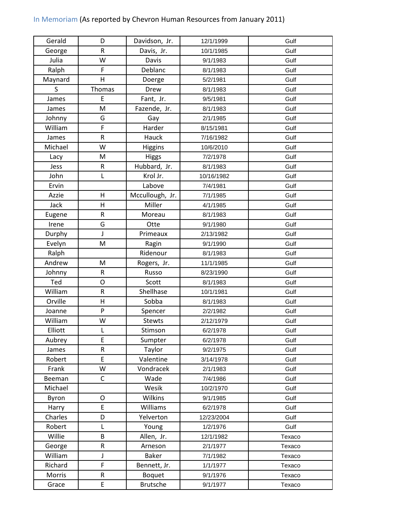| Gerald  | D                       | Davidson, Jr.   | 12/1/1999  | Gulf   |
|---------|-------------------------|-----------------|------------|--------|
| George  | ${\sf R}$               | Davis, Jr.      | 10/1/1985  | Gulf   |
| Julia   | W                       | Davis           | 9/1/1983   | Gulf   |
| Ralph   | F                       | Deblanc         | 8/1/1983   | Gulf   |
| Maynard | $\overline{\mathsf{H}}$ | Doerge          | 5/2/1981   | Gulf   |
| S       | Thomas                  | Drew            | 8/1/1983   | Gulf   |
| James   | E                       | Fant, Jr.       | 9/5/1981   | Gulf   |
| James   | M                       | Fazende, Jr.    | 8/1/1983   | Gulf   |
| Johnny  | G                       | Gay             | 2/1/1985   | Gulf   |
| William | F                       | Harder          | 8/15/1981  | Gulf   |
| James   | ${\sf R}$               | Hauck           | 7/16/1982  | Gulf   |
| Michael | W                       | <b>Higgins</b>  | 10/6/2010  | Gulf   |
| Lacy    | M                       | <b>Higgs</b>    | 7/2/1978   | Gulf   |
| Jess    | ${\sf R}$               | Hubbard, Jr.    | 8/1/1983   | Gulf   |
| John    | Г                       | Krol Jr.        | 10/16/1982 | Gulf   |
| Ervin   |                         | Labove          | 7/4/1981   | Gulf   |
| Azzie   | $\mathsf{H}$            | Mccullough, Jr. | 7/1/1985   | Gulf   |
| Jack    | $\overline{\mathsf{H}}$ | Miller          | 4/1/1985   | Gulf   |
| Eugene  | ${\sf R}$               | Moreau          | 8/1/1983   | Gulf   |
| Irene   | G                       | Otte            | 9/1/1980   | Gulf   |
| Durphy  | J                       | Primeaux        | 2/13/1982  | Gulf   |
| Evelyn  | M                       | Ragin           | 9/1/1990   | Gulf   |
| Ralph   |                         | Ridenour        | 8/1/1983   | Gulf   |
| Andrew  | M                       | Rogers, Jr.     | 11/1/1985  | Gulf   |
| Johnny  | ${\sf R}$               | Russo           | 8/23/1990  | Gulf   |
| Ted     | O                       | Scott           | 8/1/1983   | Gulf   |
| William | ${\sf R}$               | Shellhase       | 10/1/1981  | Gulf   |
| Orville | $\overline{\mathsf{H}}$ | Sobba           | 8/1/1983   | Gulf   |
| Joanne  | $\mathsf{P}$            | Spencer         | 2/2/1982   | Gulf   |
| William | W                       | <b>Stewts</b>   | 2/12/1979  | Gulf   |
| Elliott |                         | Stimson         | 6/2/1978   | Gulf   |
| Aubrey  | E                       | Sumpter         | 6/2/1978   | Gulf   |
| James   | ${\sf R}$               | Taylor          | 9/2/1975   | Gulf   |
| Robert  | E                       | Valentine       | 3/14/1978  | Gulf   |
| Frank   | W                       | Vondracek       | 2/1/1983   | Gulf   |
| Beeman  | $\mathsf C$             | Wade            | 7/4/1986   | Gulf   |
| Michael |                         | Wesik           | 10/2/1970  | Gulf   |
| Byron   | O                       | Wilkins         | 9/1/1985   | Gulf   |
| Harry   | E                       | Williams        | 6/2/1978   | Gulf   |
| Charles | D                       | Yelverton       | 12/23/2004 | Gulf   |
| Robert  | L                       | Young           | 1/2/1976   | Gulf   |
| Willie  | B                       | Allen, Jr.      | 12/1/1982  | Texaco |
| George  | R                       | Arneson         | 2/1/1977   | Texaco |
| William | J<br>F                  | <b>Baker</b>    | 7/1/1982   | Texaco |
| Richard |                         | Bennett, Jr.    | 1/1/1977   | Texaco |
| Morris  | ${\sf R}$               | <b>Boquet</b>   | 9/1/1976   | Texaco |
| Grace   | E                       | <b>Brutsche</b> | 9/1/1977   | Texaco |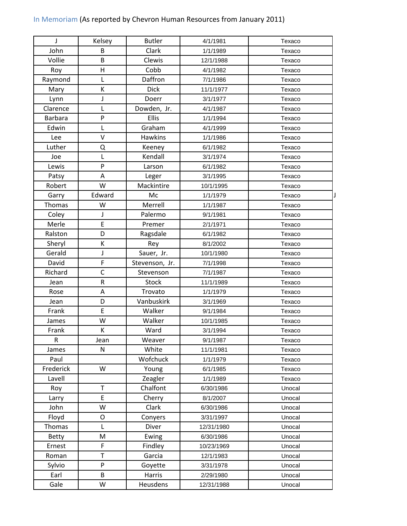| J              | Kelsey       | <b>Butler</b>  | 4/1/1981   | Texaco |
|----------------|--------------|----------------|------------|--------|
| John           | B            | Clark          | 1/1/1989   | Texaco |
| Vollie         | B            | Clewis         | 12/1/1988  | Texaco |
| Roy            | H            | Cobb           | 4/1/1982   | Texaco |
| Raymond        | L            | Daffron        | 7/1/1986   | Texaco |
| Mary           | К            | <b>Dick</b>    | 11/1/1977  | Texaco |
| Lynn           | J            | Doerr          | 3/1/1977   | Texaco |
| Clarence       | L            | Dowden, Jr.    | 4/1/1987   | Texaco |
| <b>Barbara</b> | P            | <b>Ellis</b>   | 1/1/1994   | Texaco |
| Edwin          | L            | Graham         | 4/1/1999   | Texaco |
| Lee            | $\vee$       | Hawkins        | 1/1/1986   | Texaco |
| Luther         | Q            | Keeney         | 6/1/1982   | Texaco |
| Joe            | L            | Kendall        | 3/1/1974   | Texaco |
| Lewis          | P            | Larson         | 6/1/1982   | Texaco |
| Patsy          | A            | Leger          | 3/1/1995   | Texaco |
| Robert         | W            | Mackintire     | 10/1/1995  | Texaco |
| Garry          | Edward       | Mc             | 1/1/1979   | Texaco |
| Thomas         | W            | Merrell        | 1/1/1987   | Texaco |
| Coley          | J            | Palermo        | 9/1/1981   | Texaco |
| Merle          | E            | Premer         | 2/1/1971   | Texaco |
| Ralston        | D            | Ragsdale       | 6/1/1982   | Texaco |
| Sheryl         | К            | Rey            | 8/1/2002   | Texaco |
| Gerald         | J            | Sauer, Jr.     | 10/1/1980  | Texaco |
| David          | F            | Stevenson, Jr. | 7/1/1998   | Texaco |
| Richard        | $\mathsf{C}$ | Stevenson      | 7/1/1987   | Texaco |
| Jean           | ${\sf R}$    | Stock          | 11/1/1989  | Texaco |
| Rose           | Α            | Trovato        | 1/1/1979   | Texaco |
| Jean           | D            | Vanbuskirk     | 3/1/1969   | Texaco |
| Frank          | $\mathsf E$  | Walker         | 9/1/1984   | Texaco |
| James          | W            | Walker         | 10/1/1985  | Texaco |
| Frank          | К            | Ward           | 3/1/1994   | Texaco |
| $\mathsf{R}$   | Jean         | Weaver         | 9/1/1987   | Texaco |
| James          | N            | White          | 11/1/1981  | Texaco |
| Paul           |              | Wofchuck       | 1/1/1979   | Texaco |
| Frederick      | W            | Young          | 6/1/1985   | Texaco |
| Lavell         |              | Zeagler        | 1/1/1989   | Texaco |
| Roy            | $\mathsf T$  | Chalfont       | 6/30/1986  | Unocal |
| Larry          | E            | Cherry         | 8/1/2007   | Unocal |
| John           | W            | Clark          | 6/30/1986  | Unocal |
| Floyd          | O            | Conyers        | 3/31/1997  | Unocal |
| Thomas         | L            | Diver          | 12/31/1980 | Unocal |
| <b>Betty</b>   | M            | Ewing          | 6/30/1986  | Unocal |
| Ernest         | F            | Findley        | 10/23/1969 | Unocal |
| Roman          | $\mathsf T$  | Garcia         | 12/1/1983  | Unocal |
| Sylvio         | P            | Goyette        | 3/31/1978  | Unocal |
| Earl           | B            | Harris         | 2/29/1980  | Unocal |
| Gale           | W            | Heusdens       | 12/31/1988 | Unocal |